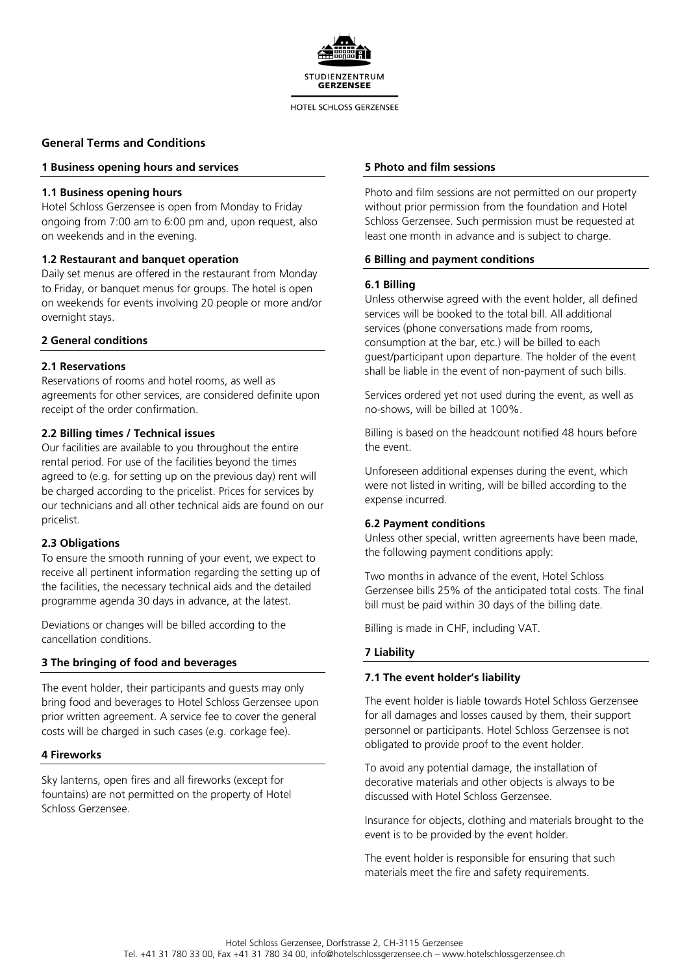

#### HOTEL SCHLOSS GERZENSEE

## **General Terms and Conditions**

## **1 Business opening hours and services**

## **1.1 Business opening hours**

Hotel Schloss Gerzensee is open from Monday to Friday ongoing from 7:00 am to 6:00 pm and, upon request, also on weekends and in the evening.

## **1.2 Restaurant and banquet operation**

Daily set menus are offered in the restaurant from Monday to Friday, or banquet menus for groups. The hotel is open on weekends for events involving 20 people or more and/or overnight stays.

## **2 General conditions**

## **2.1 Reservations**

Reservations of rooms and hotel rooms, as well as agreements for other services, are considered definite upon receipt of the order confirmation.

## **2.2 Billing times / Technical issues**

Our facilities are available to you throughout the entire rental period. For use of the facilities beyond the times agreed to (e.g. for setting up on the previous day) rent will be charged according to the pricelist. Prices for services by our technicians and all other technical aids are found on our pricelist.

## **2.3 Obligations**

To ensure the smooth running of your event, we expect to receive all pertinent information regarding the setting up of the facilities, the necessary technical aids and the detailed programme agenda 30 days in advance, at the latest.

Deviations or changes will be billed according to the cancellation conditions.

## **3 The bringing of food and beverages**

The event holder, their participants and guests may only bring food and beverages to Hotel Schloss Gerzensee upon prior written agreement. A service fee to cover the general costs will be charged in such cases (e.g. corkage fee).

## **4 Fireworks**

Sky lanterns, open fires and all fireworks (except for fountains) are not permitted on the property of Hotel Schloss Gerzensee.

## **5 Photo and film sessions**

Photo and film sessions are not permitted on our property without prior permission from the foundation and Hotel Schloss Gerzensee. Such permission must be requested at least one month in advance and is subject to charge.

## **6 Billing and payment conditions**

## **6.1 Billing**

Unless otherwise agreed with the event holder, all defined services will be booked to the total bill. All additional services (phone conversations made from rooms, consumption at the bar, etc.) will be billed to each guest/participant upon departure. The holder of the event shall be liable in the event of non-payment of such bills.

Services ordered yet not used during the event, as well as no-shows, will be billed at 100%.

Billing is based on the headcount notified 48 hours before the event.

Unforeseen additional expenses during the event, which were not listed in writing, will be billed according to the expense incurred.

## **6.2 Payment conditions**

Unless other special, written agreements have been made, the following payment conditions apply:

Two months in advance of the event, Hotel Schloss Gerzensee bills 25% of the anticipated total costs. The final bill must be paid within 30 days of the billing date.

Billing is made in CHF, including VAT.

## **7 Liability**

## **7.1 The event holder's liability**

The event holder is liable towards Hotel Schloss Gerzensee for all damages and losses caused by them, their support personnel or participants. Hotel Schloss Gerzensee is not obligated to provide proof to the event holder.

To avoid any potential damage, the installation of decorative materials and other objects is always to be discussed with Hotel Schloss Gerzensee.

Insurance for objects, clothing and materials brought to the event is to be provided by the event holder.

The event holder is responsible for ensuring that such materials meet the fire and safety requirements.